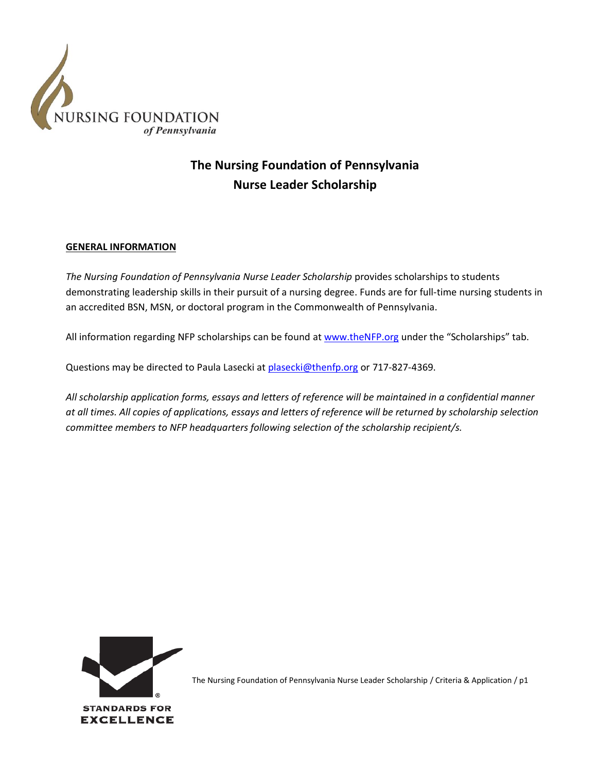

# **The Nursing Foundation of Pennsylvania Nurse Leader Scholarship**

### **GENERAL INFORMATION**

*The Nursing Foundation of Pennsylvania Nurse Leader Scholarship* provides scholarships to students demonstrating leadership skills in their pursuit of a nursing degree. Funds are for full-time nursing students in an accredited BSN, MSN, or doctoral program in the Commonwealth of Pennsylvania.

All information regarding NFP scholarships can be found a[t www.theNFP.org](http://www.thenfp.org/) under the "Scholarships" tab.

Questions may be directed to Paula Lasecki a[t plasecki@thenfp.org](mailto:plasecki@thenfp.org) or 717-827-4369.

*All scholarship application forms, essays and letters of reference will be maintained in a confidential manner at all times. All copies of applications, essays and letters of reference will be returned by scholarship selection committee members to NFP headquarters following selection of the scholarship recipient/s.*

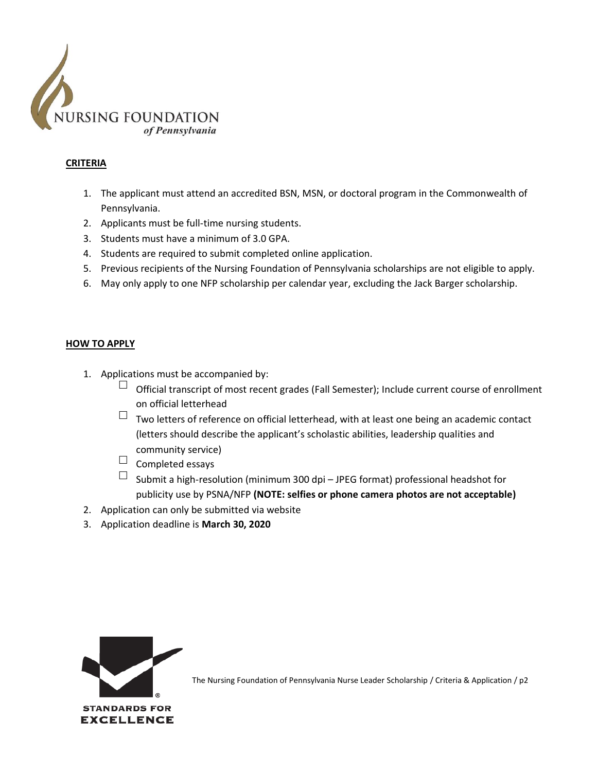

## **CRITERIA**

- 1. The applicant must attend an accredited BSN, MSN, or doctoral program in the Commonwealth of Pennsylvania.
- 2. Applicants must be full-time nursing students.
- 3. Students must have a minimum of 3.0 GPA.
- 4. Students are required to submit completed online application.
- 5. Previous recipients of the Nursing Foundation of Pennsylvania scholarships are not eligible to apply.
- 6. May only apply to one NFP scholarship per calendar year, excluding the Jack Barger scholarship.

#### **HOW TO APPLY**

- 1. Applications must be accompanied by:
	- $\Box$  Official transcript of most recent grades (Fall Semester); Include current course of enrollment on official letterhead
	- $\Box$  Two letters of reference on official letterhead, with at least one being an academic contact (letters should describe the applicant's scholastic abilities, leadership qualities and community service)
	- $\Box$  Completed essays
	- $\Box$  Submit a high-resolution (minimum 300 dpi JPEG format) professional headshot for publicity use by PSNA/NFP **(NOTE: selfies or phone camera photos are not acceptable)**
- 2. Application can only be submitted via website
- 3. Application deadline is **March 30, 2020**

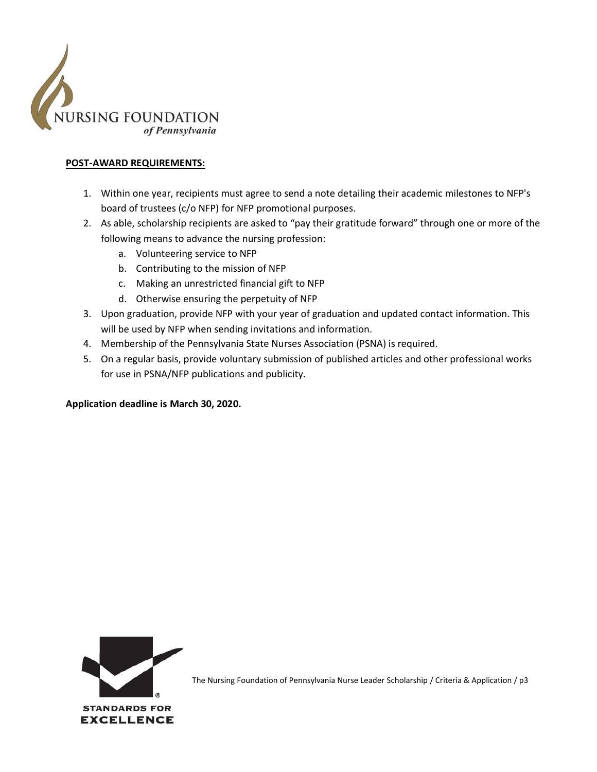

### **POST-AWARD REQUIREMENTS:**

- 1. Within one year, recipients must agree to send a note detailing their academic milestones to NFP's board of trustees (c/o NFP) for NFP promotional purposes.
- 2. As able, scholarship recipients are asked to "pay their gratitude forward" through one or more of the following means to advance the nursing profession:
	- a. Volunteering service to NFP
	- b. Contributing to the mission of NFP
	- c. Making an unrestricted financial gift to NFP
	- d. Otherwise ensuring the perpetuity of NFP
- 3. Upon graduation, provide NFP with your year of graduation and updated contact information. This will be used by NFP when sending invitations and information.
- 4. Membership of the Pennsylvania State Nurses Association (PSNA) is required.
- 5. On a regular basis, provide voluntary submission of published articles and other professional works for use in PSNA/NFP publications and publicity.

**Application deadline is March 30, 2020.**